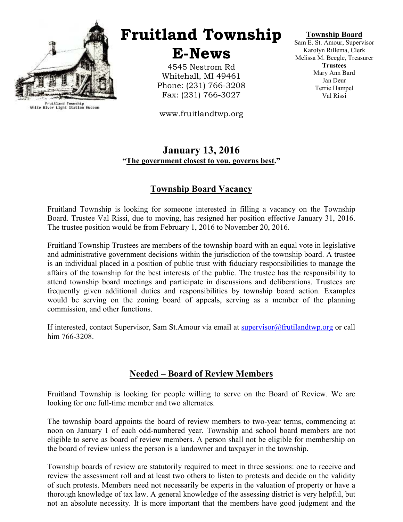

Fruitland Township<br>White River Light Station Museum

# Fruitland Township

E-News

4545 Nestrom Rd Whitehall, MI 49461 Phone: (231) 766-3208 Fax: (231) 766-3027

www.fruitlandtwp.org

#### Township Board

Sam E. St. Amour, Supervisor Karolyn Rillema, Clerk Melissa M. Beegle, Treasurer **Trustees** Mary Ann Bard Jan Deur Terrie Hampel Val Rissi

### January 13, 2016 "The government closest to you, governs best."

# Township Board Vacancy

Fruitland Township is looking for someone interested in filling a vacancy on the Township Board. Trustee Val Rissi, due to moving, has resigned her position effective January 31, 2016. The trustee position would be from February 1, 2016 to November 20, 2016.

Fruitland Township Trustees are members of the township board with an equal vote in legislative and administrative government decisions within the jurisdiction of the township board. A trustee is an individual placed in a position of public trust with fiduciary responsibilities to manage the affairs of the township for the best interests of the public. The trustee has the responsibility to attend township board meetings and participate in discussions and deliberations. Trustees are frequently given additional duties and responsibilities by township board action. Examples would be serving on the zoning board of appeals, serving as a member of the planning commission, and other functions.

If interested, contact Supervisor, Sam St.Amour via email at supervisor@frutilandtwp.org or call him 766-3208.

# Needed – Board of Review Members

Fruitland Township is looking for people willing to serve on the Board of Review. We are looking for one full-time member and two alternates.

The township board appoints the board of review members to two-year terms, commencing at noon on January 1 of each odd-numbered year. Township and school board members are not eligible to serve as board of review members. A person shall not be eligible for membership on the board of review unless the person is a landowner and taxpayer in the township.

Township boards of review are statutorily required to meet in three sessions: one to receive and review the assessment roll and at least two others to listen to protests and decide on the validity of such protests. Members need not necessarily be experts in the valuation of property or have a thorough knowledge of tax law. A general knowledge of the assessing district is very helpful, but not an absolute necessity. It is more important that the members have good judgment and the